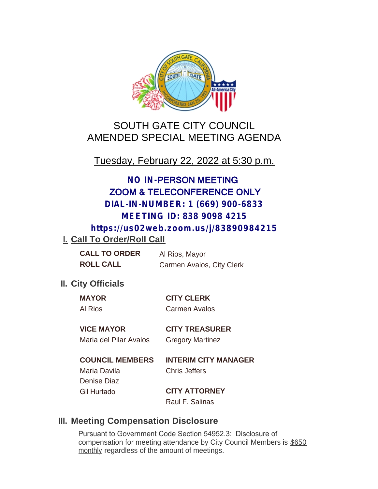

# SOUTH GATE CITY COUNCIL AMENDED SPECIAL MEETING AGENDA

Tuesday, February 22, 2022 at 5:30 p.m.

# **NO IN-**PERSON MEETING ZOOM & TELECONFERENCE ONLY **DIAL-IN-NUMBER: 1 (669) 900-6833 MEETING ID: 838 9098 4215**

**https://us02web.zoom.us/j/83890984215**

# **I. Call To Order/Roll Call**

**CALL TO ORDER** Al Rios, Mayor **ROLL CALL** Carmen Avalos, City Clerk

### **II.** City Officials

**MAYOR CITY CLERK**

Al Rios Carmen Avalos

# **VICE MAYOR CITY TREASURER**

Maria del Pilar Avalos Gregory Martinez

### **COUNCIL MEMBERS INTERIM CITY MANAGER**

Maria Davila Chris Jeffers Denise Diaz

Gil Hurtado **CITY ATTORNEY** Raul F. Salinas

# **Meeting Compensation Disclosure III.**

Pursuant to Government Code Section 54952.3: Disclosure of compensation for meeting attendance by City Council Members is \$650 monthly regardless of the amount of meetings.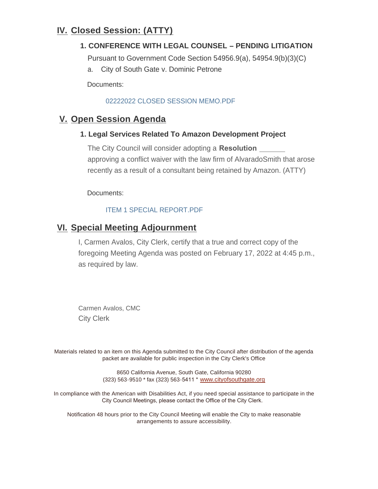### **Closed Session: (ATTY) IV.**

### **1. CONFERENCE WITH LEGAL COUNSEL – PENDING LITIGATION**

Pursuant to Government Code Section 54956.9(a), 54954.9(b)(3)(C)

a. City of South Gate v. Dominic Petrone

Documents:

#### 02222022 CLOSED SESSION MEMO.PDF

### **V.** Open Session Agenda

#### **1. Legal Services Related To Amazon Development Project**

The City Council will consider adopting a **Resolution**  approving a conflict waiver with the law firm of AlvaradoSmith that arose recently as a result of a consultant being retained by Amazon. (ATTY)

Documents:

#### ITEM 1 SPECIAL REPORT.PDF

### **Special Meeting Adjournment VI.**

I, Carmen Avalos, City Clerk, certify that a true and correct copy of the foregoing Meeting Agenda was posted on February 17, 2022 at 4:45 p.m., as required by law.

Carmen Avalos, CMC City Clerk

Materials related to an item on this Agenda submitted to the City Council after distribution of the agenda packet are available for public inspection in the City Clerk's Office

> 8650 California Avenue, South Gate, California 90280 (323) 563-9510 \* fax (323) 563-5411 \* [www.cityofsouthgate.org](http://www.cityofsouthgate.org/)

In compliance with the American with Disabilities Act, if you need special assistance to participate in the City Council Meetings, please contact the Office of the City Clerk.

Notification 48 hours prior to the City Council Meeting will enable the City to make reasonable arrangements to assure accessibility.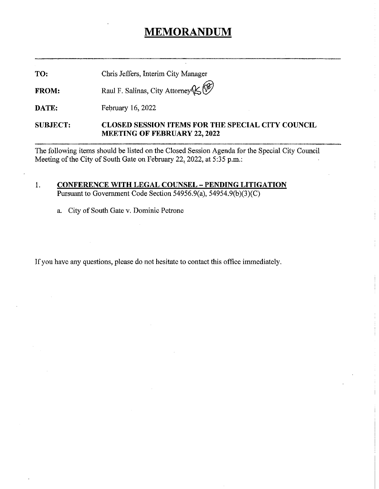# MEMORANDUM

TO: Chris Jeffers, Interim City Manager

FROM: Raul F. Salinas, City Attorney

DATE: February 16, 2022

SUBJECT: CLOSED SESSION ITEMS FOR THE SPECIAL CITY COUNCIL MEETING OF FEBRUARY 22, 2022

The following items should be listed on the Closed Session Agenda for the Special City Council Meeting of the City of South Gate on February 22, 2022, at 5:35 p.m.:

#### 1. CONFERENCE WITH LEGAL COUNSEL - PENDING LITIGATION Pursuant to Government Code Section 54956.9(a), 54954.9(b)(3)(C)

a. City of South Gate v. Dominic Petrone

If you have any questions, please do not hesitate to contact this office immediately.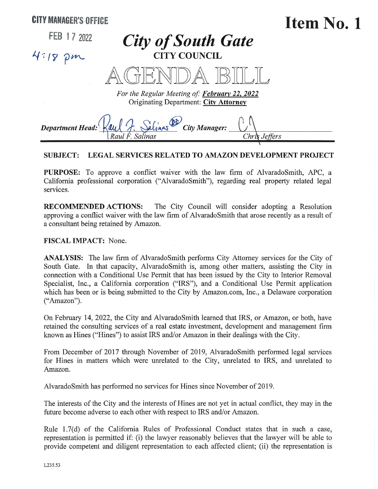

#### SUBJECT: LEGAL SERVICES RELATED TO AMAZON DEVELOPMENT PROJECT

PURPOSE: To approve a conflict waiver with the law firm of AlvaradoSmith, APC, a California professional corporation ("AlvaradoSmith"), regarding real property related legal services.

RECOMMENDED ACTIONS: The City Council will consider adopting a Resolution approving a conflict waiver with the law firm of AlvaradoSmith that arose recently as a result of a consultant being retained by Amazon.

FISCAL IMPACT: None.

ANALYSIS: The law firm of AlvaradoSmith performs City Attorney services for the City of South Gate. In that capacity, AlvaradoSmith is, among other matters, assisting the City in connection with a Conditional Use Permit that has been issued by the City to Interior Removal Specialist, Inc., a California corporation ("IRS"), and a Conditional Use Permit application which has been or is being submitted to the City by Amazon.com, Inc., a Delaware corporation ("Amazon").

On February 14, 2022, the City and AlvaradoSmith learned that IRS, or Amazon, or both, have retained the consulting services of a real estate investment, development and management firm known as Hines ("Hines") to assist IRS and/or Amazon in their dealings with the City.

From December of 2017 through November of 2019, AlvaradoSmith performed legal services for Hines in matters which were unrelated to the City, unrelated to IRS, and unrelated to Amazon.

AlvaradoSmith has performed no services for Hines since November of 2019.

The interests of the City and the interests of Hines are not yet in actual conflict, they may in the future become adverse to each other with respect to IRS and/or Amazon.

Rule 1.7(d) of the California Rules of Professional Conduct states that in such a case, representation is permitted if: (i) the lawyer reasonably believes that the lawyer will be able to provide competent and diligent representation to each affected client; (ii) the representation is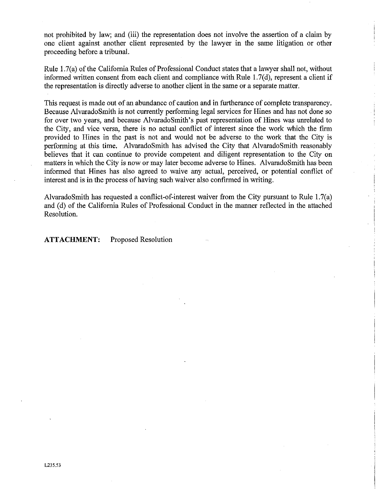not prohibited by law; and (iii) the representation does not involve the assertion of a claim by one client against another client represented by the lawyer in the same litigation or other proceeding before a tribunal.

Rule 1.7(a) of the California Rules of Professional Conduct states that a lawyer shall not, without informed written consent from each client and compliance with Rule 1.7(d), represent a client if the representation is directly adverse to another client in the same or a separate matter.

This request is made out of an abundance of caution and in furtherance of complete transparency. Because AlvaradoSmith is not currently performing legal services for Hines and has not done so for over two years, and because AlvaradoSmith's past representation of Hines was unrelated to the City, and vice versa, there is no actual conflict of interest since the work wich the firm provided to Hines in the past is not and would not be adverse to the work that the City is performing at this time. AlvaradoSmith has advised the City that AlvaradoSmith reasonably believes that it can continue to provide competent and diligent representation to the City on matters in which the City is now or may later become adverse to Hines. AlvaradoSmith has been informed that Hines has also agreed to waive any actual, perceived, or potential conflict of interest and is in the process of having such waiver also confirmed in writing.

AlvaradoSmith has requested a conflict-of-interest waiver from the City pursuant to Rule 1.7(a) and (d) of the California Rules of Professional Conduct in the manner reflected in the attached Resolution.

ATTACHMENT: Proposed Resolution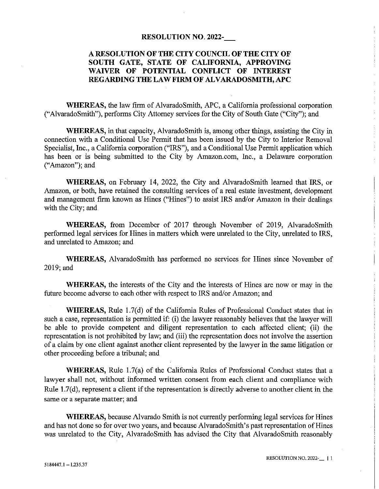#### RESOLUTION N0. 2022-

#### A RESOLUTION OF THE CITY COUNCIL OF THE CITY OF SOUTH GATE, STATE OF CALIFORNIA, APPROVING WAIVER OF POTENTIAL CONFLICT OF INTEREST REGARDING THE LAW FIRM OF ALVARADOSMITH, APC

WHEREAS, the law firm of AlvaradoSmith, APC, a California professional corporation ("AlvaradoSmith"), performs City Attorney services for the City of South Gate ("City"); and

WHEREAS, in that capacity, AlvaradoSmith is, among other things, assisting the City in connection with a Conditional Use Permit that has been issued by the City to Interior Removal Specialist, Inc., a California corporation ("IRS"), and a Conditional Use Permit application which has been or is being submitted to the City by Amazon.com, Inc., a Delaware corporation ("Amazon"); and

WHEREAS, on February 14, 2022, the City and AlvaradoSmith learned that IRS, or Amazon, or both, have retained the consulting services of a real estate investment, development and management firm known as Hines ("Hines") to assist IRS and/or Amazon in their dealings with the City; and

WHEREAS, from December of 2017 through November of 2019, AlvaradoSmith performed legal services for Hines in matters which were unrelated to the City, unrelated to IRS, and unrelated to Amazon; and

WHEREAS, AlvaradoSmith has performed no services for Hines since November of 2019; and

WHEREAS, the interests of the City and the interests of Hines are now or may in the future become adverse to each other with respect to IRS and/or Amazon; and

WHEREAS, Rule 1.7(d) of the California Rules of Professional Conduct states that in such a case, representation is permitted if: (i) the lawyer reasonably believes that the lawyer will be able to provide competent and diligent representation to each affected client; (ii) the representation is not prohibited by law; and (iii) the representation does not involve the assertion of a claim by one client against another client represented by the lawyer in the same litigation or other proceeding before a tribunal; and

WHEREAS, Rule 1.7(a) of the California Rules of Professional Conduct states that a lawyer shall not, without informed written consent from each client and compliance with Rule 1.7(d), represent a client if the representation is directly adverse to another client in the same or a separate matter; and

WHEREAS, because Alvarado Smith is not currently performing legal services for Hines and has not done so for over two years, and because AlvaradoSmith's past representation of Hines was unrelated to the City, AlvaradoSmith has advised the City that AlvaradoSmith reasonably